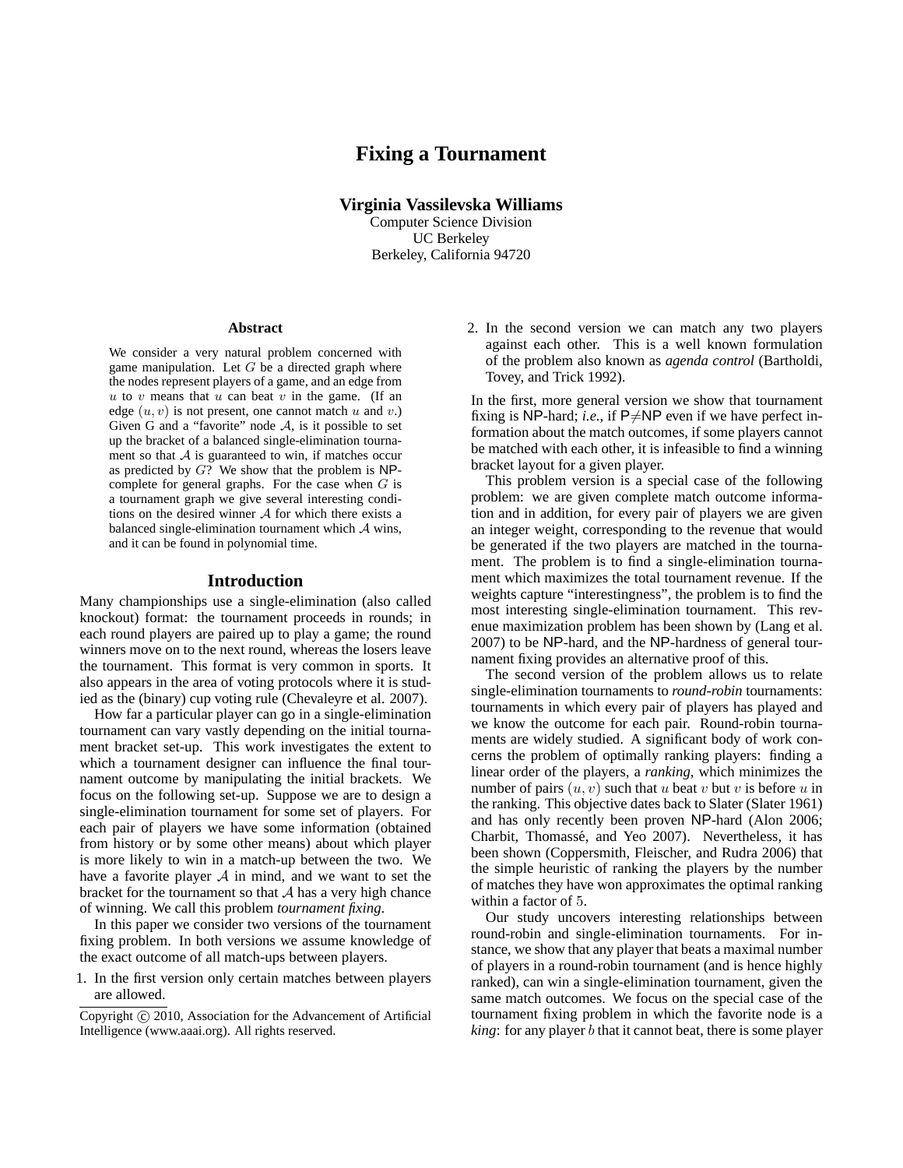# **Fixing a Tournament**

**Virginia Vassilevska Williams** Computer Science Division UC Berkeley Berkeley, California 94720

#### **Abstract**

We consider a very natural problem concerned with game manipulation. Let  $G$  be a directed graph where the nodes represent players of a game, and an edge from  $u$  to  $v$  means that  $u$  can beat  $v$  in the game. (If an edge  $(u, v)$  is not present, one cannot match u and v.) Given G and a "favorite" node  $A$ , is it possible to set up the bracket of a balanced single-elimination tournament so that  $A$  is guaranteed to win, if matches occur as predicted by  $G$ ? We show that the problem is NPcomplete for general graphs. For the case when  $G$  is a tournament graph we give several interesting conditions on the desired winner  $A$  for which there exists a balanced single-elimination tournament which  $A$  wins, and it can be found in polynomial time.

#### **Introduction**

Many championships use a single-elimination (also called knockout) format: the tournament proceeds in rounds; in each round players are paired up to play a game; the round winners move on to the next round, whereas the losers leave the tournament. This format is very common in sports. It also appears in the area of voting protocols where it is studied as the (binary) cup voting rule (Chevaleyre et al. 2007).

How far a particular player can go in a single-elimination tournament can vary vastly depending on the initial tournament bracket set-up. This work investigates the extent to which a tournament designer can influence the final tournament outcome by manipulating the initial brackets. We focus on the following set-up. Suppose we are to design a single-elimination tournament for some set of players. For each pair of players we have some information (obtained from history or by some other means) about which player is more likely to win in a match-up between the two. We have a favorite player  $A$  in mind, and we want to set the bracket for the tournament so that  $A$  has a very high chance of winning. We call this problem *tournament fixing*.

In this paper we consider two versions of the tournament fixing problem. In both versions we assume knowledge of the exact outcome of all match-ups between players.

1. In the first version only certain matches between players are allowed.

2. In the second version we can match any two players against each other. This is a well known formulation of the problem also known as *agenda control* (Bartholdi, Tovey, and Trick 1992).

In the first, more general version we show that tournament fixing is NP-hard; *i.e.*, if  $P\neq NP$  even if we have perfect information about the match outcomes, if some players cannot be matched with each other, it is infeasible to find a winning bracket layout for a given player.

This problem version is a special case of the following problem: we are given complete match outcome information and in addition, for every pair of players we are given an integer weight, corresponding to the revenue that would be generated if the two players are matched in the tournament. The problem is to find a single-elimination tournament which maximizes the total tournament revenue. If the weights capture "interestingness", the problem is to find the most interesting single-elimination tournament. This revenue maximization problem has been shown by (Lang et al. 2007) to be NP-hard, and the NP-hardness of general tournament fixing provides an alternative proof of this.

The second version of the problem allows us to relate single-elimination tournaments to *round-robin* tournaments: tournaments in which every pair of players has played and we know the outcome for each pair. Round-robin tournaments are widely studied. A significant body of work concerns the problem of optimally ranking players: finding a linear order of the players, a *ranking*, which minimizes the number of pairs  $(u, v)$  such that u beat v but v is before u in the ranking. This objective dates back to Slater (Slater 1961) and has only recently been proven NP-hard (Alon 2006; Charbit, Thomassé, and Yeo 2007). Nevertheless, it has been shown (Coppersmith, Fleischer, and Rudra 2006) that the simple heuristic of ranking the players by the number of matches they have won approximates the optimal ranking within a factor of 5.

Our study uncovers interesting relationships between round-robin and single-elimination tournaments. For instance, we show that any player that beats a maximal number of players in a round-robin tournament (and is hence highly ranked), can win a single-elimination tournament, given the same match outcomes. We focus on the special case of the tournament fixing problem in which the favorite node is a *king*: for any player b that it cannot beat, there is some player

Copyright  $\odot$  2010, Association for the Advancement of Artificial Intelligence (www.aaai.org). All rights reserved.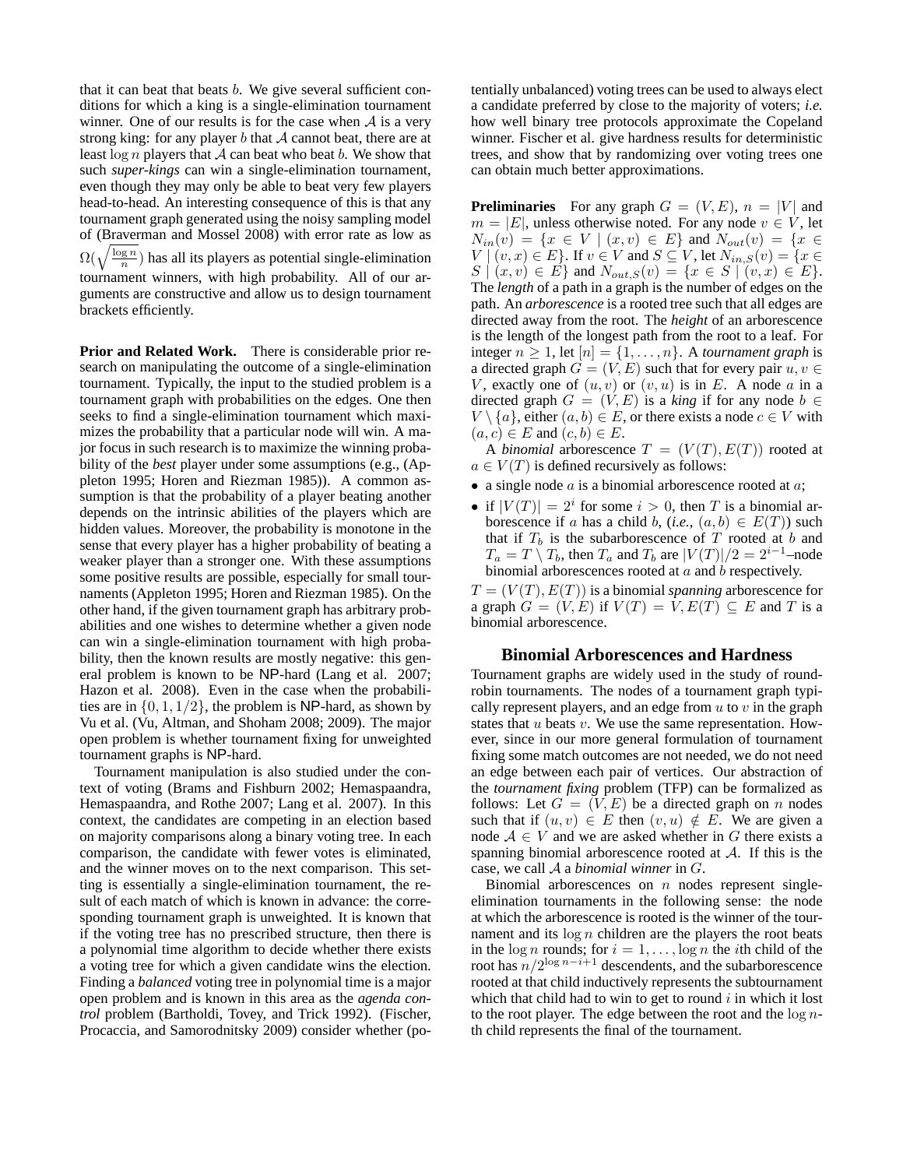that it can beat that beats b. We give several sufficient conditions for which a king is a single-elimination tournament winner. One of our results is for the case when  $A$  is a very strong king: for any player  $b$  that  $A$  cannot beat, there are at least  $\log n$  players that A can beat who beat b. We show that such *super-kings* can win a single-elimination tournament, even though they may only be able to beat very few players head-to-head. An interesting consequence of this is that any tournament graph generated using the noisy sampling model of (Braverman and Mossel 2008) with error rate as low as  $\Omega(\sqrt{\frac{\log n}{n}})$  has all its players as potential single-elimination tournament winners, with high probability. All of our arguments are constructive and allow us to design tournament brackets efficiently.

**Prior and Related Work.** There is considerable prior research on manipulating the outcome of a single-elimination tournament. Typically, the input to the studied problem is a tournament graph with probabilities on the edges. One then seeks to find a single-elimination tournament which maximizes the probability that a particular node will win. A major focus in such research is to maximize the winning probability of the *best* player under some assumptions (e.g., (Appleton 1995; Horen and Riezman 1985)). A common assumption is that the probability of a player beating another depends on the intrinsic abilities of the players which are hidden values. Moreover, the probability is monotone in the sense that every player has a higher probability of beating a weaker player than a stronger one. With these assumptions some positive results are possible, especially for small tournaments (Appleton 1995; Horen and Riezman 1985). On the other hand, if the given tournament graph has arbitrary probabilities and one wishes to determine whether a given node can win a single-elimination tournament with high probability, then the known results are mostly negative: this general problem is known to be NP-hard (Lang et al. 2007; Hazon et al. 2008). Even in the case when the probabilities are in  $\{0, 1, 1/2\}$ , the problem is NP-hard, as shown by Vu et al. (Vu, Altman, and Shoham 2008; 2009). The major open problem is whether tournament fixing for unweighted tournament graphs is NP-hard.

Tournament manipulation is also studied under the context of voting (Brams and Fishburn 2002; Hemaspaandra, Hemaspaandra, and Rothe 2007; Lang et al. 2007). In this context, the candidates are competing in an election based on majority comparisons along a binary voting tree. In each comparison, the candidate with fewer votes is eliminated, and the winner moves on to the next comparison. This setting is essentially a single-elimination tournament, the result of each match of which is known in advance: the corresponding tournament graph is unweighted. It is known that if the voting tree has no prescribed structure, then there is a polynomial time algorithm to decide whether there exists a voting tree for which a given candidate wins the election. Finding a *balanced* voting tree in polynomial time is a major open problem and is known in this area as the *agenda control* problem (Bartholdi, Tovey, and Trick 1992). (Fischer, Procaccia, and Samorodnitsky 2009) consider whether (potentially unbalanced) voting trees can be used to always elect a candidate preferred by close to the majority of voters; *i.e.* how well binary tree protocols approximate the Copeland winner. Fischer et al. give hardness results for deterministic trees, and show that by randomizing over voting trees one can obtain much better approximations.

**Preliminaries** For any graph  $G = (V, E)$ ,  $n = |V|$  and  $m = |E|$ , unless otherwise noted. For any node  $v \in V$ , let  $N_{in}(v) = \{x \in V \mid (x,v) \in E\}$  and  $N_{out}(v) = \{x \in$  $V | (v, x) \in E$ . If  $v \in V$  and  $S \subseteq V$ , let  $N_{in,S}(v) = \{x \in V\}$  $S | (x,v) \in E$  and  $N_{out,S}(v) = \{x \in S | (v,x) \in E\}.$ The *length* of a path in a graph is the number of edges on the path. An *arborescence* is a rooted tree such that all edges are directed away from the root. The *height* of an arborescence is the length of the longest path from the root to a leaf. For integer  $n \geq 1$ , let  $[n] = \{1, \ldots, n\}$ . A *tournament graph* is a directed graph  $G = (V, E)$  such that for every pair  $u, v \in$ V, exactly one of  $(u, v)$  or  $(v, u)$  is in E. A node a in a directed graph  $G = (V, E)$  is a *king* if for any node  $b \in$  $V \setminus \{a\}$ , either  $(a, b) \in E$ , or there exists a node  $c \in V$  with  $(a, c) \in E$  and  $(c, b) \in E$ .

A *binomial* arborescence  $T = (V(T), E(T))$  rooted at  $a \in V(T)$  is defined recursively as follows:

- a single node  $a$  is a binomial arborescence rooted at  $a$ ;
- if  $|V(T)| = 2^i$  for some  $i > 0$ , then T is a binomial arborescence if a has a child b,  $(i.e., (a, b) \in E(T))$  such that if  $T_b$  is the subarborescence of  $T$  rooted at b and  $T_a = T \setminus T_b$ , then  $T_a$  and  $T_b$  are  $|V(T)|/2 = 2^{i-1}$ –node binomial arborescences rooted at  $a$  and  $b$  respectively.

 $T = (V(T), E(T))$  is a binomial *spanning* arborescence for a graph  $G = (V, E)$  if  $V(T) = V, E(T) \subseteq E$  and T is a binomial arborescence.

#### **Binomial Arborescences and Hardness**

Tournament graphs are widely used in the study of roundrobin tournaments. The nodes of a tournament graph typically represent players, and an edge from  $u$  to  $v$  in the graph states that  $u$  beats  $v$ . We use the same representation. However, since in our more general formulation of tournament fixing some match outcomes are not needed, we do not need an edge between each pair of vertices. Our abstraction of the *tournament fixing* problem (TFP) can be formalized as follows: Let  $G = (V, E)$  be a directed graph on n nodes such that if  $(u, v) \in E$  then  $(v, u) \notin E$ . We are given a node  $A \in V$  and we are asked whether in G there exists a spanning binomial arborescence rooted at  $A$ . If this is the case, we call A a *binomial winner* in G.

Binomial arborescences on  $n$  nodes represent singleelimination tournaments in the following sense: the node at which the arborescence is rooted is the winner of the tournament and its  $log n$  children are the players the root beats in the log *n* rounds; for  $i = 1, \ldots, \log n$  the *i*th child of the root has  $n/2^{\log n - i + 1}$  descendents, and the subarborescence rooted at that child inductively represents the subtournament which that child had to win to get to round  $i$  in which it lost to the root player. The edge between the root and the  $\log n$ th child represents the final of the tournament.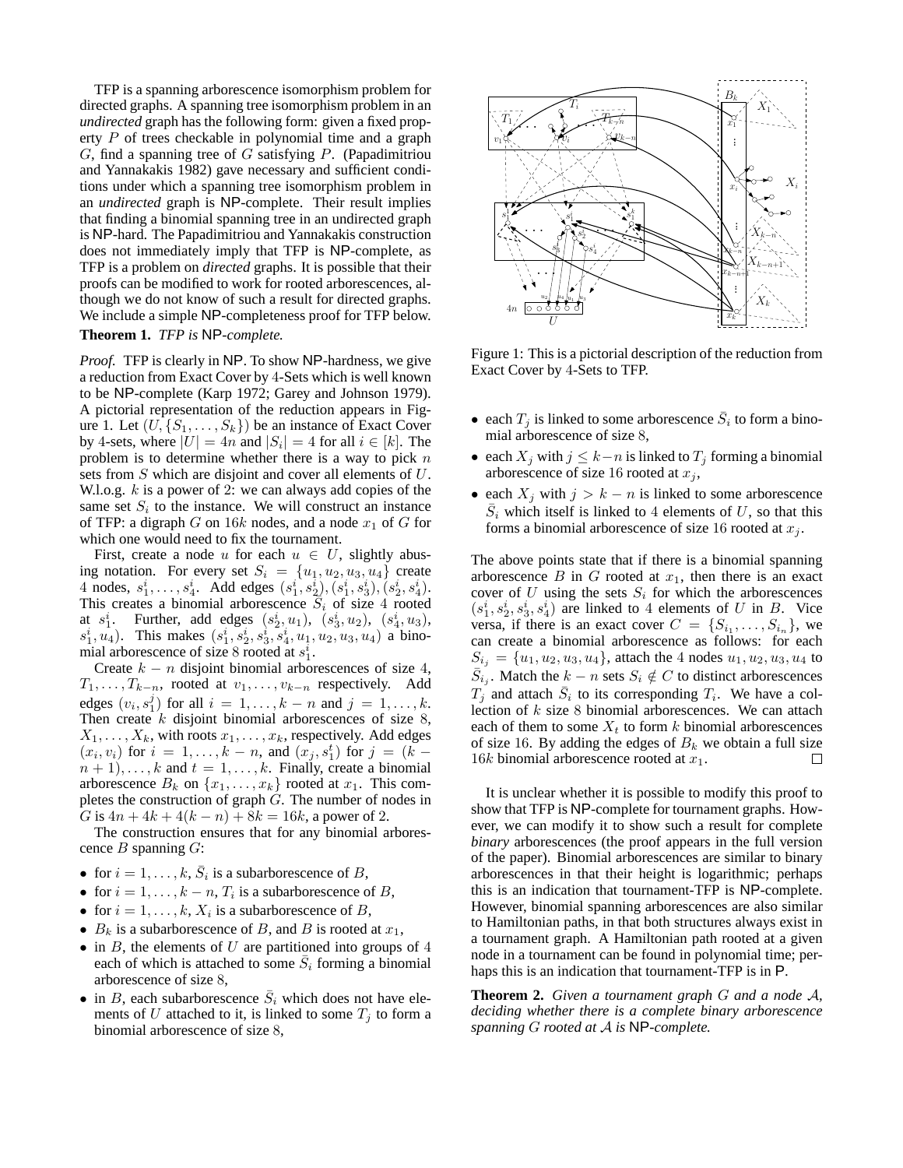TFP is a spanning arborescence isomorphism problem for directed graphs. A spanning tree isomorphism problem in an *undirected* graph has the following form: given a fixed property P of trees checkable in polynomial time and a graph  $G$ , find a spanning tree of  $G$  satisfying  $P$ . (Papadimitriou and Yannakakis 1982) gave necessary and sufficient conditions under which a spanning tree isomorphism problem in an *undirected* graph is NP-complete. Their result implies that finding a binomial spanning tree in an undirected graph is NP-hard. The Papadimitriou and Yannakakis construction does not immediately imply that TFP is NP-complete, as TFP is a problem on *directed* graphs. It is possible that their proofs can be modified to work for rooted arborescences, although we do not know of such a result for directed graphs. We include a simple NP-completeness proof for TFP below. **Theorem 1.** *TFP is* NP*-complete.*

*Proof.* TFP is clearly in NP. To show NP-hardness, we give a reduction from Exact Cover by 4-Sets which is well known to be NP-complete (Karp 1972; Garey and Johnson 1979). A pictorial representation of the reduction appears in Figure 1. Let  $(U, \{S_1, \ldots, S_k\})$  be an instance of Exact Cover by 4-sets, where  $|U| = 4n$  and  $|S_i| = 4$  for all  $i \in [k]$ . The problem is to determine whether there is a way to pick  $n$ sets from S which are disjoint and cover all elements of U. W.l.o.g.  $k$  is a power of 2: we can always add copies of the same set  $S_i$  to the instance. We will construct an instance of TFP: a digraph G on 16k nodes, and a node  $x_1$  of G for which one would need to fix the tournament.

First, create a node u for each  $u \in U$ , slightly abusing notation. For every set  $S_i = \{u_1, u_2, u_3, u_4\}$  create 4 nodes,  $s_1^i, \ldots, s_4^i$ . Add edges  $(s_1^i, s_2^i), (s_1^i, s_3^i), (s_2^i, s_4^i)$ . This creates a binomial arborescence  $S_i$  of size 4 rooted at  $s_1^i$ . Further, add edges  $(s_2^i, u_1)$ ,  $(s_3^i, u_2)$ ,  $(s_4^i, u_3)$ ,  $s_1^i, u_4$ ). This makes  $(s_1^i, s_2^i, s_3^i, s_4^i, u_1, u_2, u_3, u_4)$  a binomial arborescence of size 8 rooted at  $s_1^i$ .

Create  $k - n$  disjoint binomial arborescences of size 4,  $T_1, \ldots, T_{k-n}$ , rooted at  $v_1, \ldots, v_{k-n}$  respectively. Add edges  $(v_i, s_1^j)$  for all  $i = 1, \ldots, k - n$  and  $j = 1, \ldots, k$ . Then create  $k$  disjoint binomial arborescences of size  $8$ ,  $X_1, \ldots, X_k$ , with roots  $x_1, \ldots, x_k$ , respectively. Add edges  $(x_i, v_i)$  for  $i = 1, ..., k - n$ , and  $(x_j, s_1^t)$  for  $j = (k$  $n + 1, \ldots, k$  and  $t = 1, \ldots, k$ . Finally, create a binomial arborescence  $B_k$  on  $\{x_1, \ldots, x_k\}$  rooted at  $x_1$ . This completes the construction of graph  $\tilde{G}$ . The number of nodes in G is  $4n + 4k + 4(k - n) + 8k = 16k$ , a power of 2.

The construction ensures that for any binomial arborescence  $B$  spanning  $G$ :

- for  $i = 1, ..., k$ ,  $\overline{S}_i$  is a subarborescence of B,
- for  $i = 1, ..., k n$ ,  $T_i$  is a subarborescence of  $B$ ,
- for  $i = 1, ..., k$ ,  $X_i$  is a subarborescence of B,
- $B_k$  is a subarborescence of B, and B is rooted at  $x_1$ ,
- $\bullet$  in B, the elements of U are partitioned into groups of 4 each of which is attached to some  $\overline{S}_i$  forming a binomial arborescence of size 8,
- in B, each subarborescence  $\overline{S}_i$  which does not have elements of U attached to it, is linked to some  $T_i$  to form a binomial arborescence of size 8,



Figure 1: This is a pictorial description of the reduction from Exact Cover by 4-Sets to TFP.

- each  $T_j$  is linked to some arborescence  $\overline{S}_i$  to form a binomial arborescence of size 8,
- each  $X_i$  with  $j \leq k-n$  is linked to  $T_i$  forming a binomial arborescence of size 16 rooted at  $x_j$ ,
- each  $X_j$  with  $j > k n$  is linked to some arborescence  $\overline{S}_i$  which itself is linked to 4 elements of U, so that this forms a binomial arborescence of size 16 rooted at  $x_i$ .

The above points state that if there is a binomial spanning arborescence  $B$  in  $G$  rooted at  $x_1$ , then there is an exact cover of  $U$  using the sets  $S_i$  for which the arborescences  $(s_1^i, s_2^i, s_3^i, s_4^i)$  are linked to 4 elements of U in B. Vice versa, if there is an exact cover  $C = \{S_{i_1}, \ldots, S_{i_n}\}\,$  we can create a binomial arborescence as follows: for each  $S_{i_j} = \{u_1, u_2, u_3, u_4\}$ , attach the 4 nodes  $u_1, u_2, u_3, u_4$  to  $\bar{S}_{i_j}$ . Match the  $k - n$  sets  $S_i \notin C$  to distinct arborescences  $T_j$  and attach  $\bar{S}_i$  to its corresponding  $T_i$ . We have a collection of k size 8 binomial arborescences. We can attach each of them to some  $X_t$  to form k binomial arborescences of size 16. By adding the edges of  $B_k$  we obtain a full size 16k binomial arborescence rooted at  $x_1$ .  $\Box$ 

It is unclear whether it is possible to modify this proof to show that TFP is NP-complete for tournament graphs. However, we can modify it to show such a result for complete *binary* arborescences (the proof appears in the full version of the paper). Binomial arborescences are similar to binary arborescences in that their height is logarithmic; perhaps this is an indication that tournament-TFP is NP-complete. However, binomial spanning arborescences are also similar to Hamiltonian paths, in that both structures always exist in a tournament graph. A Hamiltonian path rooted at a given node in a tournament can be found in polynomial time; perhaps this is an indication that tournament-TFP is in P.

**Theorem 2.** *Given a tournament graph* G *and a node* A*, deciding whether there is a complete binary arborescence spanning* G *rooted at* A *is* NP*-complete.*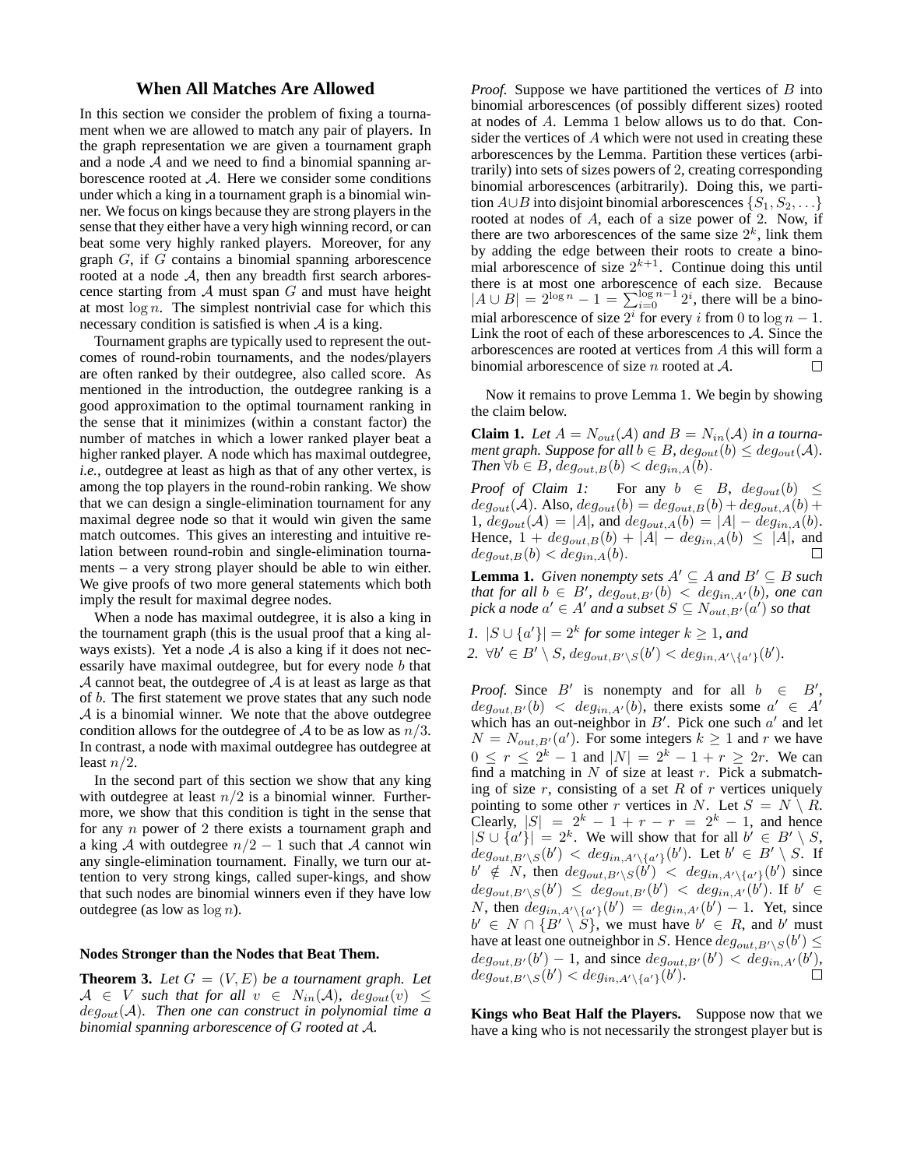## **When All Matches Are Allowed**

In this section we consider the problem of fixing a tournament when we are allowed to match any pair of players. In the graph representation we are given a tournament graph and a node  $A$  and we need to find a binomial spanning arborescence rooted at A. Here we consider some conditions under which a king in a tournament graph is a binomial winner. We focus on kings because they are strong players in the sense that they either have a very high winning record, or can beat some very highly ranked players. Moreover, for any graph G, if G contains a binomial spanning arborescence rooted at a node A, then any breadth first search arborescence starting from  $A$  must span  $G$  and must have height at most  $\log n$ . The simplest nontrivial case for which this necessary condition is satisfied is when  $A$  is a king.

Tournament graphs are typically used to represent the outcomes of round-robin tournaments, and the nodes/players are often ranked by their outdegree, also called score. As mentioned in the introduction, the outdegree ranking is a good approximation to the optimal tournament ranking in the sense that it minimizes (within a constant factor) the number of matches in which a lower ranked player beat a higher ranked player. A node which has maximal outdegree, *i.e.*, outdegree at least as high as that of any other vertex, is among the top players in the round-robin ranking. We show that we can design a single-elimination tournament for any maximal degree node so that it would win given the same match outcomes. This gives an interesting and intuitive relation between round-robin and single-elimination tournaments – a very strong player should be able to win either. We give proofs of two more general statements which both imply the result for maximal degree nodes.

When a node has maximal outdegree, it is also a king in the tournament graph (this is the usual proof that a king always exists). Yet a node  $A$  is also a king if it does not necessarily have maximal outdegree, but for every node b that  $\mathcal A$  cannot beat, the outdegree of  $\mathcal A$  is at least as large as that of b. The first statement we prove states that any such node  $A$  is a binomial winner. We note that the above outdegree condition allows for the outdegree of A to be as low as  $n/3$ . In contrast, a node with maximal outdegree has outdegree at least  $n/2$ .

In the second part of this section we show that any king with outdegree at least  $n/2$  is a binomial winner. Furthermore, we show that this condition is tight in the sense that for any n power of 2 there exists a tournament graph and a king A with outdegree  $n/2 - 1$  such that A cannot win any single-elimination tournament. Finally, we turn our attention to very strong kings, called super-kings, and show that such nodes are binomial winners even if they have low outdegree (as low as  $\log n$ ).

### **Nodes Stronger than the Nodes that Beat Them.**

**Theorem 3.** Let  $G = (V, E)$  be a tournament graph. Let  $A \in V$  *such that for all*  $v \in N_{in}(A)$ *, deg<sub>out</sub>* $(v) \leq$ degout(A)*. Then one can construct in polynomial time a binomial spanning arborescence of* G *rooted at* A*.*

*Proof.* Suppose we have partitioned the vertices of B into binomial arborescences (of possibly different sizes) rooted at nodes of A. Lemma 1 below allows us to do that. Consider the vertices of A which were not used in creating these arborescences by the Lemma. Partition these vertices (arbitrarily) into sets of sizes powers of 2, creating corresponding binomial arborescences (arbitrarily). Doing this, we partition  $A \cup B$  into disjoint binomial arborescences  $\{S_1, S_2, \ldots\}$ rooted at nodes of A, each of a size power of 2. Now, if there are two arborescences of the same size  $2^k$ , link them by adding the edge between their roots to create a binomial arborescence of size  $2^{k+1}$ . Continue doing this until there is at most one arborescence of each size. Because  $|A \cup B| = 2^{\log n} - 1 = \sum_{i=0}^{\log n} 2^i$ , there will be a binomial arborescence of size  $2^i$  for every i from 0 to  $\log n - 1$ . Link the root of each of these arborescences to  $A$ . Since the arborescences are rooted at vertices from A this will form a binomial arborescence of size *n* rooted at *A*.  $\Box$ 

Now it remains to prove Lemma 1. We begin by showing the claim below.

**Claim 1.** Let  $A = N_{out}(A)$  and  $B = N_{in}(A)$  in a tourna*ment graph. Suppose for all*  $b \in B$ *,*  $deg_{out}(b) \leq deg_{out}(A)$ *. Then*  $\forall b \in B$ *,*  $deg_{out,B}(b) < deg_{in,A}(b)$ *.* 

*Proof of Claim 1:* For any  $b \in B$ ,  $deg_{out}(b) \leq$  $deg_{out}(\mathcal{A})$ . Also,  $deg_{out}(b) = deg_{out,B}(b) + deg_{out,A}(b) +$ 1,  $deg_{out}(\mathcal{A}) = |A|$ , and  $deg_{out,A}(b) = |A| - deg_{in,A}(b)$ . Hence,  $1 + deg_{out,B}(b) + |A| - deg_{in,A}(b) \leq |A|$ , and  $deg_{out,B}(b) < deg_{in,A}(b)$ .  $deg_{out,B}(b) < deg_{in,A}(b).$ 

**Lemma 1.** *Given nonempty sets*  $A' \subseteq A$  *and*  $B' \subseteq B$  *such that for all*  $b \in B'$ ,  $deg_{out,B'}(b) < deg_{in,A'}(b)$ , one can  $pick a node a' \in A'$  and a subset  $S \subseteq N_{out,B'}(a')$  so that

*1.*  $|S \cup \{a'\}| = 2^k$  for some integer  $k \geq 1$ , and 2.  $\forall b' \in B' \setminus S$ ,  $deg_{out,B'}(b') < deg_{in,A'}(a')\{b'\}.$ 

*Proof.* Since  $B'$  is nonempty and for all  $b \in B'$ ,  $deg_{out,B'}(b) < deg_{in,A'}(b)$ , there exists some  $a' \in A'$ which has an out-neighbor in  $B'$ . Pick one such  $a'$  and let  $N = N_{out,B'}(a')$ . For some integers  $k \ge 1$  and r we have  $0 \le r \le 2^k - 1$  and  $|N| = 2^k - 1 + r \ge 2r$ . We can find a matching in N of size at least r. Pick a submatching of size  $r$ , consisting of a set  $R$  of  $r$  vertices uniquely pointing to some other r vertices in N. Let  $S = N \setminus R$ . Clearly,  $|S| = 2^k - 1 + r - r = 2^k - 1$ , and hence  $|S \cup \{a'\}| = 2^k$ . We will show that for all  $b' \in B' \setminus S$ ,  $deg_{out,B'\setminus S}(b') < deg_{in,A'\setminus\{a'\}}(b')$ . Let  $b' \in B' \setminus S$ . If  $b' \notin N$ , then  $deg_{out,B'\setminus S}(b') < deg_{in,A'\setminus\{a'\}}(b')$  since  $deg_{out,B'\setminus S}(b') \leq deg_{out,B'}(b') < deg_{in,A'}(b')$ . If  $b' \in$ N, then  $deg_{in,A'\setminus\{a'\}}(b') = deg_{in,A'}(b') - 1$ . Yet, since  $b' \in N \cap \{B' \setminus S\}$ , we must have  $b' \in R$ , and  $b'$  must have at least one outneighbor in S. Hence  $deg_{out,B'\setminus S}(b') \leq$  $deg_{out,B'}(b') - 1$ , and since  $deg_{out,B'}(b') < deg_{in,A'}(b')$ .  $deg_{out,B'\setminus S}(b') < deg_{in,A'\setminus\{a'\}}(b').$ 

**Kings who Beat Half the Players.** Suppose now that we have a king who is not necessarily the strongest player but is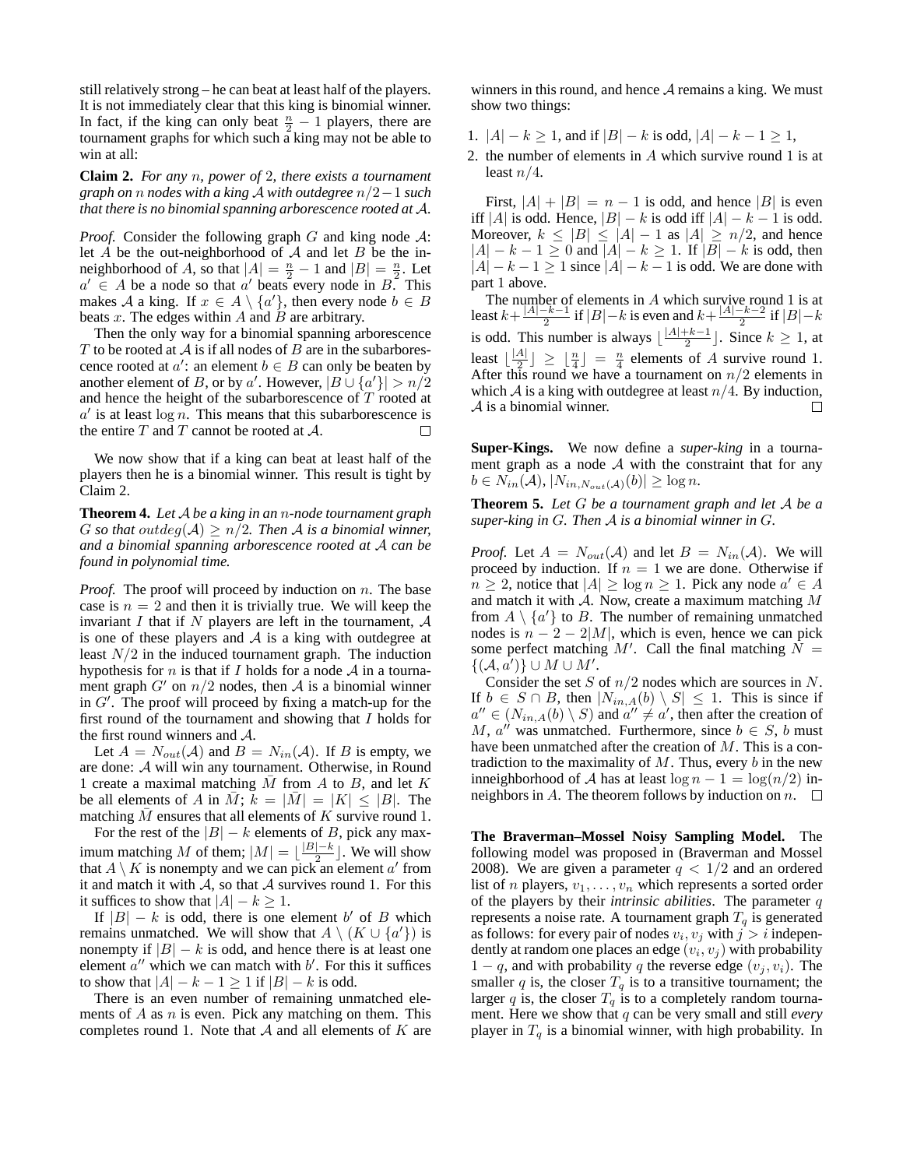still relatively strong – he can beat at least half of the players. It is not immediately clear that this king is binomial winner. In fact, if the king can only beat  $\frac{n}{2} - 1$  players, there are tournament graphs for which such a king may not be able to win at all:

**Claim 2.** *For any* n*, power of* 2*, there exists a tournament graph on* n *nodes with a king* A *with outdegree* n/2−1 *such that there is no binomial spanning arborescence rooted at* A*.*

*Proof.* Consider the following graph  $G$  and king node  $\mathcal{A}$ : let A be the out-neighborhood of A and let B be the inneighborhood of A, so that  $|A| = \frac{n}{2} - 1$  and  $|B| = \frac{n}{2}$ . Let  $a' \in A$  be a node so that  $a'$  beats every node in  $B$ . This makes A a king. If  $x \in A \setminus \{a'\}$ , then every node  $b \in B$ beats  $x$ . The edges within  $A$  and  $B$  are arbitrary.

Then the only way for a binomial spanning arborescence T to be rooted at  $A$  is if all nodes of B are in the subarborescence rooted at  $a'$ : an element  $b \in B$  can only be beaten by another element of B, or by a'. However,  $|B \cup \{a'\}| > n/2$ and hence the height of the subarborescence of  $T$  rooted at  $a'$  is at least  $\log n$ . This means that this subarborescence is the entire  $T$  and  $T$  cannot be rooted at  $A$ .  $\Box$ 

We now show that if a king can beat at least half of the players then he is a binomial winner. This result is tight by Claim 2.

**Theorem 4.** *Let* A *be a king in an* n*-node tournament graph* G so that outdeg( $A$ ) >  $n/2$ . Then A is a binomial winner, *and a binomial spanning arborescence rooted at* A *can be found in polynomial time.*

*Proof.* The proof will proceed by induction on *n*. The base case is  $n = 2$  and then it is trivially true. We will keep the invariant I that if N players are left in the tournament,  $A$ is one of these players and  $A$  is a king with outdegree at least  $N/2$  in the induced tournament graph. The induction hypothesis for n is that if I holds for a node  $A$  in a tournament graph  $G'$  on  $n/2$  nodes, then A is a binomial winner in G′ . The proof will proceed by fixing a match-up for the first round of the tournament and showing that I holds for the first round winners and A.

Let  $A = N_{out}(A)$  and  $B = N_{in}(A)$ . If B is empty, we are done: A will win any tournament. Otherwise, in Round 1 create a maximal matching  $M$  from  $A$  to  $B$ , and let  $K$ be all elements of A in M;  $k = |M| = |K| \leq |B|$ . The matching  $M$  ensures that all elements of  $K$  survive round 1.

For the rest of the  $|B| - k$  elements of B, pick any maximum matching M of them;  $|M| = \lfloor \frac{|B| - k}{2} \rfloor$ . We will show that  $A \setminus K$  is nonempty and we can pick an element  $a'$  from it and match it with  $A$ , so that  $A$  survives round 1. For this it suffices to show that  $|A| - k \geq 1$ .

If  $|B| - k$  is odd, there is one element b' of B which remains unmatched. We will show that  $A \setminus (K \cup \{a'\})$  is nonempty if  $|B| - k$  is odd, and hence there is at least one element  $a''$  which we can match with  $b'$ . For this it suffices to show that  $|A| - k - 1 \ge 1$  if  $|B| - k$  is odd.

There is an even number of remaining unmatched elements of  $A$  as  $n$  is even. Pick any matching on them. This completes round 1. Note that  $A$  and all elements of  $K$  are winners in this round, and hence  $A$  remains a king. We must show two things:

- 1.  $|A| k \ge 1$ , and if  $|B| k$  is odd,  $|A| k 1 \ge 1$ ,
- 2. the number of elements in A which survive round 1 is at least  $n/4$ .

First,  $|A| + |B| = n - 1$  is odd, and hence  $|B|$  is even iff |A| is odd. Hence,  $|B| - k$  is odd iff  $|A| - k - 1$  is odd. Moreover,  $k \leq |B| \leq |A| - 1$  as  $|A| \geq n/2$ , and hence  $|A| - k - 1 \ge 0$  and  $|A| - k \ge 1$ . If  $|B| - k$  is odd, then  $|A| - k - 1 \ge 1$  since  $|A| - k - 1$  is odd. We are done with part 1 above.

The number of elements in  $A$  which survive round 1 is at least  $k + \frac{|A| - k - 1}{2}$  if  $|B| - k$  is even and  $k + \frac{|A| - k - 2}{2}$  if  $|B| - k$ is odd. This number is always  $\lfloor \frac{|A|+k-1}{2} \rfloor$ . Since  $k \ge 1$ , at least  $\lfloor \frac{|A|}{2} \rfloor \ge \lfloor \frac{n}{4} \rfloor = \frac{n}{4}$  elements of A survive round 1. After this round we have a tournament on  $n/2$  elements in which A is a king with outdegree at least  $n/4$ . By induction,<br>A is a binomial winner. A is a binomial winner.

**Super-Kings.** We now define a *super-king* in a tournament graph as a node  $A$  with the constraint that for any  $b \in N_{in}(\mathcal{A}), |N_{in,N_{out}(\mathcal{A})}(b)| \geq \log n.$ 

**Theorem 5.** *Let* G *be a tournament graph and let* A *be a super-king in* G*. Then* A *is a binomial winner in* G*.*

*Proof.* Let  $A = N_{out}(A)$  and let  $B = N_{in}(A)$ . We will proceed by induction. If  $n = 1$  we are done. Otherwise if  $n \geq 2$ , notice that  $|A| \geq \log n \geq 1$ . Pick any node  $a' \in A$ and match it with  $A$ . Now, create a maximum matching  $M$ from  $A \setminus \{a'\}$  to B. The number of remaining unmatched nodes is  $n - 2 - 2|M|$ , which is even, hence we can pick some perfect matching  $M'$ . Call the final matching  $N =$  $\{(\mathcal{A}, a')\} \cup M \cup M'.$ 

Consider the set S of  $n/2$  nodes which are sources in N. If  $b \in S \cap B$ , then  $|N_{in,A}(b) \setminus S| \leq 1$ . This is since if  $a'' \in (N_{in,A}(b) \setminus S)$  and  $a'' \neq a'$ , then after the creation of M,  $a''$  was unmatched. Furthermore, since  $b \in S$ , b must have been unmatched after the creation of M. This is a contradiction to the maximality of  $M$ . Thus, every  $b$  in the new inneighborhood of A has at least  $\log n - 1 = \log(n/2)$  inneighbors in A. The theorem follows by induction on  $n.$   $\Box$ 

**The Braverman–Mossel Noisy Sampling Model.** The following model was proposed in (Braverman and Mossel 2008). We are given a parameter  $q < 1/2$  and an ordered list of *n* players,  $v_1, \ldots, v_n$  which represents a sorted order of the players by their *intrinsic abilities*. The parameter q represents a noise rate. A tournament graph  $T<sub>q</sub>$  is generated as follows: for every pair of nodes  $v_i, v_j$  with  $j > i$  independently at random one places an edge  $(v_i, v_j)$  with probability  $1 - q$ , and with probability q the reverse edge  $(v_i, v_i)$ . The smaller q is, the closer  $T_q$  is to a transitive tournament; the larger q is, the closer  $T_q$  is to a completely random tournament. Here we show that q can be very small and still *every* player in  $T<sub>q</sub>$  is a binomial winner, with high probability. In